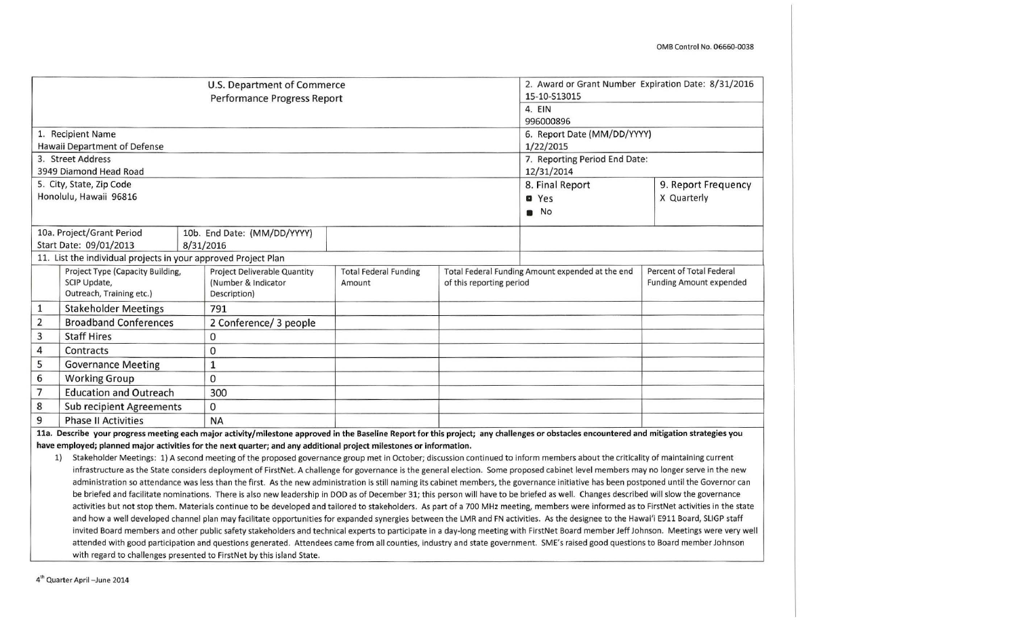|                |                                                                                                                                                                                           |           | U.S. Department of Commerce<br>Performance Progress Report |                              | 2. Award or Grant Number Expiration Date: 8/31/2016 |                                                                                                                                                                                           |                                |
|----------------|-------------------------------------------------------------------------------------------------------------------------------------------------------------------------------------------|-----------|------------------------------------------------------------|------------------------------|-----------------------------------------------------|-------------------------------------------------------------------------------------------------------------------------------------------------------------------------------------------|--------------------------------|
|                |                                                                                                                                                                                           |           | 15-10-S13015                                               |                              |                                                     |                                                                                                                                                                                           |                                |
|                |                                                                                                                                                                                           |           | 4. EIN                                                     |                              |                                                     |                                                                                                                                                                                           |                                |
|                |                                                                                                                                                                                           |           |                                                            |                              |                                                     | 996000896                                                                                                                                                                                 |                                |
|                | 1. Recipient Name                                                                                                                                                                         |           |                                                            |                              |                                                     | 6. Report Date (MM/DD/YYYY)                                                                                                                                                               |                                |
|                | Hawaii Department of Defense                                                                                                                                                              |           |                                                            |                              |                                                     | 1/22/2015                                                                                                                                                                                 |                                |
|                | 3. Street Address                                                                                                                                                                         |           |                                                            |                              |                                                     | 7. Reporting Period End Date:                                                                                                                                                             |                                |
|                | 3949 Diamond Head Road                                                                                                                                                                    |           |                                                            |                              |                                                     | 12/31/2014                                                                                                                                                                                |                                |
|                | 5. City, State, Zip Code                                                                                                                                                                  |           |                                                            |                              |                                                     | 8. Final Report                                                                                                                                                                           | 9. Report Frequency            |
|                | Honolulu, Hawaii 96816                                                                                                                                                                    |           |                                                            |                              |                                                     | <b>O</b> Yes                                                                                                                                                                              | X Quarterly                    |
|                |                                                                                                                                                                                           |           |                                                            |                              |                                                     | $\blacksquare$ No                                                                                                                                                                         |                                |
|                | 10a. Project/Grant Period                                                                                                                                                                 |           | 10b. End Date: (MM/DD/YYYY)                                |                              |                                                     |                                                                                                                                                                                           |                                |
|                | Start Date: 09/01/2013                                                                                                                                                                    | 8/31/2016 |                                                            |                              |                                                     |                                                                                                                                                                                           |                                |
|                | 11. List the individual projects in your approved Project Plan                                                                                                                            |           |                                                            |                              |                                                     |                                                                                                                                                                                           |                                |
|                | Project Type (Capacity Building,                                                                                                                                                          |           | Project Deliverable Quantity                               | <b>Total Federal Funding</b> |                                                     | Total Federal Funding Amount expended at the end                                                                                                                                          | Percent of Total Federal       |
|                | SCIP Update,                                                                                                                                                                              |           | (Number & Indicator                                        | Amount                       | of this reporting period                            |                                                                                                                                                                                           | <b>Funding Amount expended</b> |
|                | Outreach, Training etc.)                                                                                                                                                                  |           | Description)                                               |                              |                                                     |                                                                                                                                                                                           |                                |
| $\mathbf{1}$   | <b>Stakeholder Meetings</b>                                                                                                                                                               |           | 791                                                        |                              |                                                     |                                                                                                                                                                                           |                                |
| $\overline{2}$ | <b>Broadband Conferences</b>                                                                                                                                                              |           | 2 Conference/ 3 people                                     |                              |                                                     |                                                                                                                                                                                           |                                |
| 3              | <b>Staff Hires</b>                                                                                                                                                                        |           | 0                                                          |                              |                                                     |                                                                                                                                                                                           |                                |
| $\overline{a}$ | Contracts                                                                                                                                                                                 |           | 0                                                          |                              |                                                     |                                                                                                                                                                                           |                                |
| 5              | <b>Governance Meeting</b>                                                                                                                                                                 |           | $\mathbf 1$                                                |                              |                                                     |                                                                                                                                                                                           |                                |
| 6              | <b>Working Group</b>                                                                                                                                                                      |           | $\Omega$                                                   |                              |                                                     |                                                                                                                                                                                           |                                |
| $\overline{7}$ | <b>Education and Outreach</b>                                                                                                                                                             |           | 300                                                        |                              |                                                     |                                                                                                                                                                                           |                                |
| 8              | <b>Sub recipient Agreements</b>                                                                                                                                                           |           | 0                                                          |                              |                                                     |                                                                                                                                                                                           |                                |
| 9              | <b>Phase II Activities</b>                                                                                                                                                                |           | <b>NA</b>                                                  |                              |                                                     |                                                                                                                                                                                           |                                |
|                | 11a. Describe your progress meeting each major activity/milestone approved in the Baseline Report for this project; any challenges or obstacles encountered and mitigation strategies you |           |                                                            |                              |                                                     |                                                                                                                                                                                           |                                |
|                | have employed; planned major activities for the next quarter; and any additional project milestones or information.                                                                       |           |                                                            |                              |                                                     |                                                                                                                                                                                           |                                |
|                | 1)                                                                                                                                                                                        |           |                                                            |                              |                                                     | Stakeholder Meetings: 1) A second meeting of the proposed governance group met in October; discussion continued to inform members about the criticality of maintaining current            |                                |
|                |                                                                                                                                                                                           |           |                                                            |                              |                                                     | infrastructure as the State considers deployment of FirstNet. A challenge for governance is the general election. Some proposed cabinet level members may no longer serve in the new      |                                |
|                |                                                                                                                                                                                           |           |                                                            |                              |                                                     | administration so attendance was less than the first. As the new administration is still naming its cabinet members, the governance initiative has been postponed until the Governor can  |                                |
|                |                                                                                                                                                                                           |           |                                                            |                              |                                                     | be briefed and facilitate nominations. There is also new leadership in DOD as of December 31; this person will have to be briefed as well. Changes described will slow the governance     |                                |
|                |                                                                                                                                                                                           |           |                                                            |                              |                                                     | activities but not stop them. Materials continue to be developed and tailored to stakeholders. As part of a 700 MHz meeting, members were informed as to FirstNet activities in the state |                                |
|                |                                                                                                                                                                                           |           |                                                            |                              |                                                     | and how a well developed channel plan may facilitate opportunities for expanded synergies between the LMR and FN activities. As the designee to the Hawai'i E911 Board, SLIGP staff       |                                |
|                |                                                                                                                                                                                           |           |                                                            |                              |                                                     | invited Board members and other public safety stakeholders and technical experts to participate in a day-long meeting with FirstNet Board member Jeff Johnson. Meetings were very well    |                                |
|                |                                                                                                                                                                                           |           |                                                            |                              |                                                     | attended with good participation and questions generated. Attendees came from all counties, industry and state government. SME's raised good questions to Board member Johnson            |                                |
|                | with regard to challenges presented to FirstNet by this island State.                                                                                                                     |           |                                                            |                              |                                                     |                                                                                                                                                                                           |                                |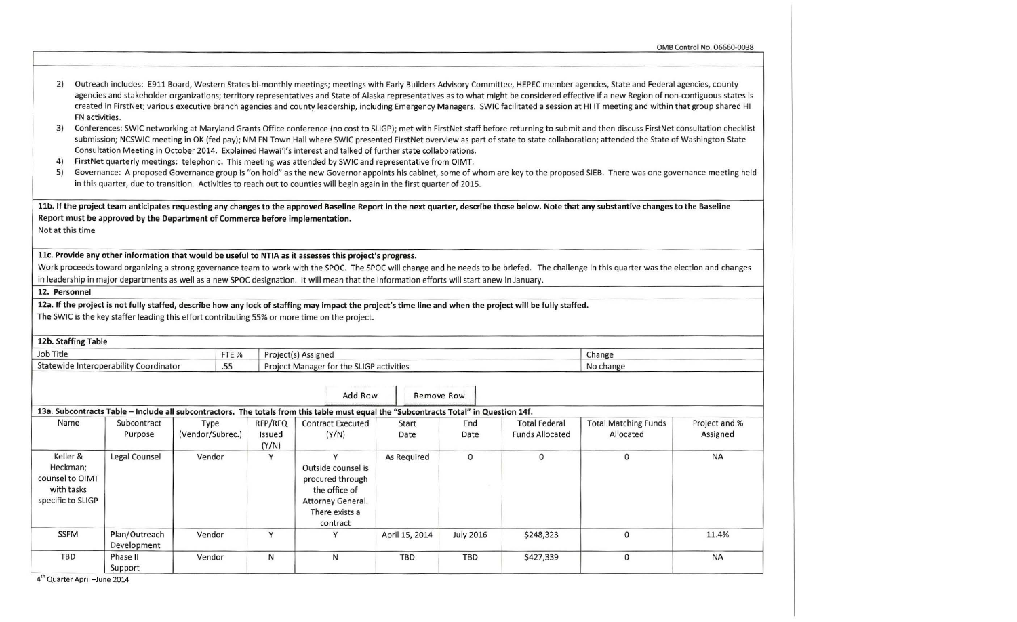OMB Control No. 06660-0038

| 2)<br>FN activities.<br>3)<br>4)<br>5)                                     |                                                                              |                          |              |                            | Consultation Meeting in October 2014. Explained Hawai'i's interest and talked of further state collaborations.<br>FirstNet quarterly meetings: telephonic. This meeting was attended by SWIC and representative from OIMT.<br>in this quarter, due to transition. Activities to reach out to counties will begin again in the first quarter of 2015. |                |                  |                                                | Outreach includes: E911 Board, Western States bi-monthly meetings; meetings with Early Builders Advisory Committee, HEPEC member agencies, State and Federal agencies, county<br>agencies and stakeholder organizations; territory representatives and State of Alaska representatives as to what might be considered effective if a new Region of non-contiguous states is<br>created in FirstNet; various executive branch agencies and county leadership, including Emergency Managers. SWIC facilitated a session at HI IT meeting and within that group shared HI<br>Conferences: SWIC networking at Maryland Grants Office conference (no cost to SLIGP); met with FirstNet staff before returning to submit and then discuss FirstNet consultation checklist<br>submission; NCSWIC meeting in OK (fed pay); NM FN Town Hall where SWIC presented FirstNet overview as part of state to state collaboration; attended the State of Washington State<br>Governance: A proposed Governance group is "on hold" as the new Governor appoints his cabinet, some of whom are key to the proposed SIEB. There was one governance meeting held |                           |
|----------------------------------------------------------------------------|------------------------------------------------------------------------------|--------------------------|--------------|----------------------------|------------------------------------------------------------------------------------------------------------------------------------------------------------------------------------------------------------------------------------------------------------------------------------------------------------------------------------------------------|----------------|------------------|------------------------------------------------|----------------------------------------------------------------------------------------------------------------------------------------------------------------------------------------------------------------------------------------------------------------------------------------------------------------------------------------------------------------------------------------------------------------------------------------------------------------------------------------------------------------------------------------------------------------------------------------------------------------------------------------------------------------------------------------------------------------------------------------------------------------------------------------------------------------------------------------------------------------------------------------------------------------------------------------------------------------------------------------------------------------------------------------------------------------------------------------------------------------------------------------------|---------------------------|
| Not at this time                                                           | Report must be approved by the Department of Commerce before implementation. |                          |              |                            | 11c. Provide any other information that would be useful to NTIA as it assesses this project's progress.                                                                                                                                                                                                                                              |                |                  |                                                | 11b. If the project team anticipates requesting any changes to the approved Baseline Report in the next quarter, describe those below. Note that any substantive changes to the Baseline<br>Work proceeds toward organizing a strong governance team to work with the SPOC. The SPOC will change and he needs to be briefed. The challenge in this quarter was the election and changes                                                                                                                                                                                                                                                                                                                                                                                                                                                                                                                                                                                                                                                                                                                                                      |                           |
|                                                                            |                                                                              |                          |              |                            | in leadership in major departments as well as a new SPOC designation. It will mean that the information efforts will start anew in January.                                                                                                                                                                                                          |                |                  |                                                |                                                                                                                                                                                                                                                                                                                                                                                                                                                                                                                                                                                                                                                                                                                                                                                                                                                                                                                                                                                                                                                                                                                                              |                           |
| 12. Personnel                                                              |                                                                              |                          |              |                            |                                                                                                                                                                                                                                                                                                                                                      |                |                  |                                                |                                                                                                                                                                                                                                                                                                                                                                                                                                                                                                                                                                                                                                                                                                                                                                                                                                                                                                                                                                                                                                                                                                                                              |                           |
| 12b. Staffing Table                                                        |                                                                              |                          |              |                            | 12a. If the project is not fully staffed, describe how any lock of staffing may impact the project's time line and when the project will be fully staffed.<br>The SWIC is the key staffer leading this effort contributing 55% or more time on the project.                                                                                          |                |                  |                                                |                                                                                                                                                                                                                                                                                                                                                                                                                                                                                                                                                                                                                                                                                                                                                                                                                                                                                                                                                                                                                                                                                                                                              |                           |
| Job Title                                                                  |                                                                              |                          |              |                            |                                                                                                                                                                                                                                                                                                                                                      |                |                  |                                                |                                                                                                                                                                                                                                                                                                                                                                                                                                                                                                                                                                                                                                                                                                                                                                                                                                                                                                                                                                                                                                                                                                                                              |                           |
|                                                                            | Statewide Interoperability Coordinator                                       |                          | FTE %<br>.55 |                            | Project(s) Assigned<br>Project Manager for the SLIGP activities                                                                                                                                                                                                                                                                                      |                |                  |                                                | Change<br>No change                                                                                                                                                                                                                                                                                                                                                                                                                                                                                                                                                                                                                                                                                                                                                                                                                                                                                                                                                                                                                                                                                                                          |                           |
|                                                                            |                                                                              |                          |              |                            | Add Row                                                                                                                                                                                                                                                                                                                                              | Remove Row     |                  |                                                |                                                                                                                                                                                                                                                                                                                                                                                                                                                                                                                                                                                                                                                                                                                                                                                                                                                                                                                                                                                                                                                                                                                                              |                           |
|                                                                            |                                                                              |                          |              |                            | 13a. Subcontracts Table - Include all subcontractors. The totals from this table must equal the "Subcontracts Total" in Question 14f.                                                                                                                                                                                                                |                |                  |                                                |                                                                                                                                                                                                                                                                                                                                                                                                                                                                                                                                                                                                                                                                                                                                                                                                                                                                                                                                                                                                                                                                                                                                              |                           |
| Name                                                                       | Subcontract<br>Purpose                                                       | Type<br>(Vendor/Subrec.) |              | RFP/RFQ<br>Issued<br>(Y/N) | <b>Contract Executed</b><br>(Y/N)                                                                                                                                                                                                                                                                                                                    | Start<br>Date  | End<br>Date      | <b>Total Federal</b><br><b>Funds Allocated</b> | <b>Total Matching Funds</b><br>Allocated                                                                                                                                                                                                                                                                                                                                                                                                                                                                                                                                                                                                                                                                                                                                                                                                                                                                                                                                                                                                                                                                                                     | Project and %<br>Assigned |
| Keller &<br>Heckman;<br>counsel to OIMT<br>with tasks<br>specific to SLIGP | Legal Counsel                                                                | Vendor                   |              | Y                          | Y<br>Outside counsel is<br>procured through<br>the office of<br>Attorney General.<br>There exists a<br>contract                                                                                                                                                                                                                                      | As Required    | $\mathbf{0}$     | $\Omega$                                       | $\mathbf{0}$                                                                                                                                                                                                                                                                                                                                                                                                                                                                                                                                                                                                                                                                                                                                                                                                                                                                                                                                                                                                                                                                                                                                 | <b>NA</b>                 |
| <b>SSFM</b>                                                                | Plan/Outreach<br>Development                                                 | Vendor                   |              | Y                          | Y                                                                                                                                                                                                                                                                                                                                                    | April 15, 2014 | <b>July 2016</b> | \$248,323                                      | $\mathbf 0$                                                                                                                                                                                                                                                                                                                                                                                                                                                                                                                                                                                                                                                                                                                                                                                                                                                                                                                                                                                                                                                                                                                                  | 11.4%                     |
| <b>TBD</b>                                                                 | Phase II<br>Support                                                          | Vendor                   |              | N                          | N                                                                                                                                                                                                                                                                                                                                                    | <b>TBD</b>     | <b>TBD</b>       | \$427,339                                      | $\mathbf 0$                                                                                                                                                                                                                                                                                                                                                                                                                                                                                                                                                                                                                                                                                                                                                                                                                                                                                                                                                                                                                                                                                                                                  | <b>NA</b>                 |

4<sup>th</sup> Quarter April –June 2014